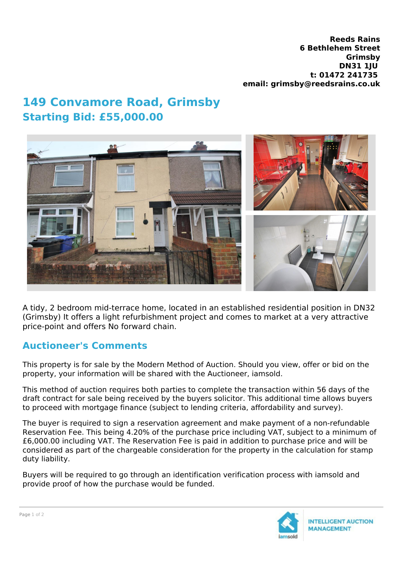**Reeds Rains 6 Bethlehem Street Grimsby DN31 1JU t: 01472 241735 email: grimsby@reedsrains.co.uk**

## **149 Convamore Road, Grimsby Starting Bid: £55,000.00**



A tidy, 2 bedroom mid-terrace home, located in an established residential position in DN32 (Grimsby) It offers a light refurbishment project and comes to market at a very attractive price-point and offers No forward chain.

## **Auctioneer's Comments**

This property is for sale by the Modern Method of Auction. Should you view, offer or bid on the property, your information will be shared with the Auctioneer, iamsold.

This method of auction requires both parties to complete the transaction within 56 days of the draft contract for sale being received by the buyers solicitor. This additional time allows buyers to proceed with mortgage finance (subject to lending criteria, affordability and survey).

The buyer is required to sign a reservation agreement and make payment of a non-refundable Reservation Fee. This being 4.20% of the purchase price including VAT, subject to a minimum of £6,000.00 including VAT. The Reservation Fee is paid in addition to purchase price and will be considered as part of the chargeable consideration for the property in the calculation for stamp duty liability.

Buyers will be required to go through an identification verification process with iamsold and provide proof of how the purchase would be funded.